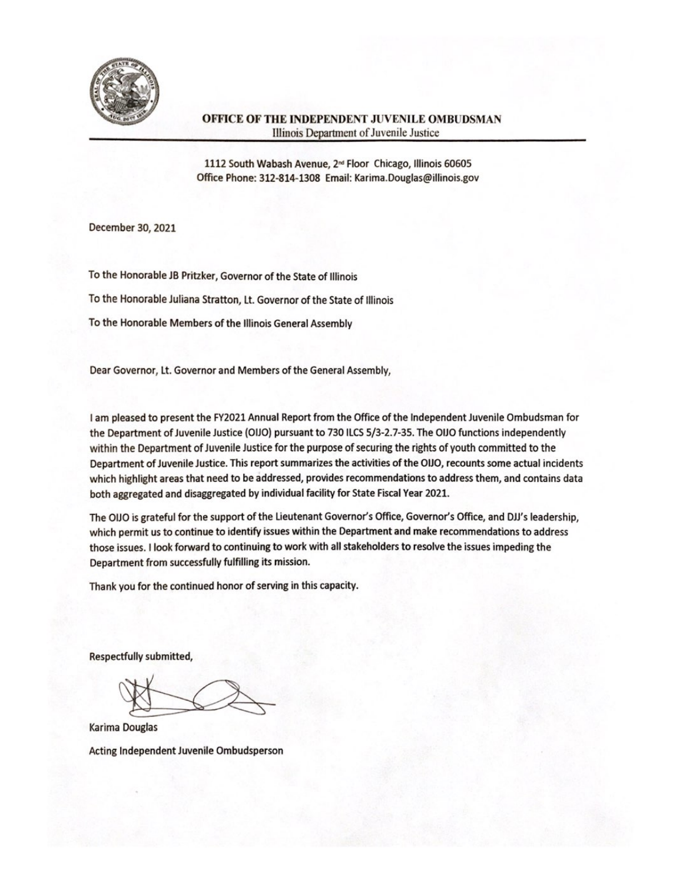

## OFFICE OF THE INDEPENDENT JUVENILE OMBUDSMAN Illinois Department of Juvenile Justice

1112 South Wabash Avenue, 2<sup>nd</sup> Floor Chicago, Illinois 60605 Office Phone: 312-814-1308 Email: Karima.Douglas@illinois.gov

December 30, 2021

To the Honorable JB Pritzker, Governor of the State of Illinois To the Honorable Juliana Stratton, Lt. Governor of the State of Illinois To the Honorable Members of the Illinois General Assembly

Dear Governor, Lt. Governor and Members of the General Assembly,

I am pleased to present the FY2021 Annual Report from the Office of the Independent Juvenile Ombudsman for the Department of Juvenile Justice (OIJO) pursuant to 730 ILCS 5/3-2.7-35. The OIJO functions independently within the Department of Juvenile Justice for the purpose of securing the rights of youth committed to the Department of Juvenile Justice. This report summarizes the activities of the OIJO, recounts some actual incidents which highlight areas that need to be addressed, provides recommendations to address them, and contains data both aggregated and disaggregated by individual facility for State Fiscal Year 2021.

The OIJO is grateful for the support of the Lieutenant Governor's Office, Governor's Office, and DJJ's leadership, which permit us to continue to identify issues within the Department and make recommendations to address those issues. I look forward to continuing to work with all stakeholders to resolve the issues impeding the Department from successfully fulfilling its mission.

Thank you for the continued honor of serving in this capacity.

Respectfully submitted,

Karima Douglas Acting Independent Juvenile Ombudsperson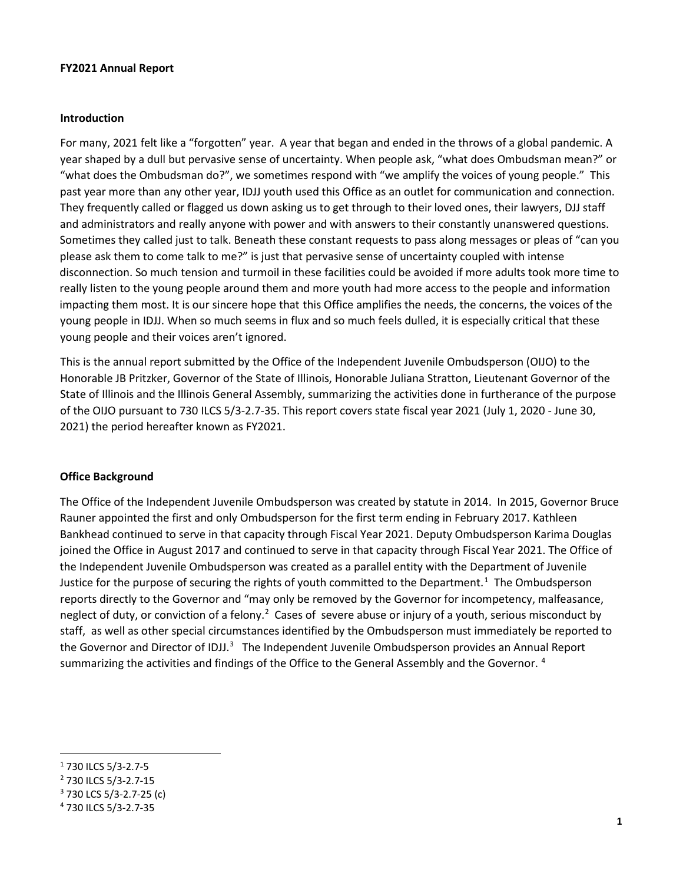#### **FY2021 Annual Report**

#### **Introduction**

For many, 2021 felt like a "forgotten" year. A year that began and ended in the throws of a global pandemic. A year shaped by a dull but pervasive sense of uncertainty. When people ask, "what does Ombudsman mean?" or "what does the Ombudsman do?", we sometimes respond with "we amplify the voices of young people." This past year more than any other year, IDJJ youth used this Office as an outlet for communication and connection. They frequently called or flagged us down asking us to get through to their loved ones, their lawyers, DJJ staff and administrators and really anyone with power and with answers to their constantly unanswered questions. Sometimes they called just to talk. Beneath these constant requests to pass along messages or pleas of "can you please ask them to come talk to me?" is just that pervasive sense of uncertainty coupled with intense disconnection. So much tension and turmoil in these facilities could be avoided if more adults took more time to really listen to the young people around them and more youth had more access to the people and information impacting them most. It is our sincere hope that this Office amplifies the needs, the concerns, the voices of the young people in IDJJ. When so much seems in flux and so much feels dulled, it is especially critical that these young people and their voices aren't ignored.

This is the annual report submitted by the Office of the Independent Juvenile Ombudsperson (OIJO) to the Honorable JB Pritzker, Governor of the State of Illinois, Honorable Juliana Stratton, Lieutenant Governor of the State of Illinois and the Illinois General Assembly, summarizing the activities done in furtherance of the purpose of the OIJO pursuant to 730 ILCS 5/3-2.7-35. This report covers state fiscal year 2021 (July 1, 2020 - June 30, 2021) the period hereafter known as FY2021.

#### **Office Background**

The Office of the Independent Juvenile Ombudsperson was created by statute in 2014. In 2015, Governor Bruce Rauner appointed the first and only Ombudsperson for the first term ending in February 2017. Kathleen Bankhead continued to serve in that capacity through Fiscal Year 2021. Deputy Ombudsperson Karima Douglas joined the Office in August 2017 and continued to serve in that capacity through Fiscal Year 2021. The Office of the Independent Juvenile Ombudsperson was created as a parallel entity with the Department of Juvenile Justice for the purpose of securing the rights of youth committed to the Department.<sup>[1](#page-1-0)</sup> The Ombudsperson reports directly to the Governor and "may only be removed by the Governor for incompetency, malfeasance, neglect of duty, or conviction of a felony.<sup>[2](#page-1-1)</sup> Cases of severe abuse or injury of a youth, serious misconduct by staff, as well as other special circumstances identified by the Ombudsperson must immediately be reported to the Governor and Director of IDJJ.<sup>[3](#page-1-2)</sup> The Independent Juvenile Ombudsperson provides an Annual Report summarizing the activities and findings of the Office to the General Assembly and the Governor.<sup>[4](#page-1-3)</sup>

<span id="page-1-0"></span><sup>1</sup> 730 ILCS 5/3-2.7-5

<span id="page-1-1"></span><sup>2</sup> 730 ILCS 5/3-2.7-15

<span id="page-1-2"></span><sup>3</sup> 730 LCS 5/3-2.7-25 (c)

<span id="page-1-3"></span><sup>4</sup> 730 ILCS 5/3-2.7-35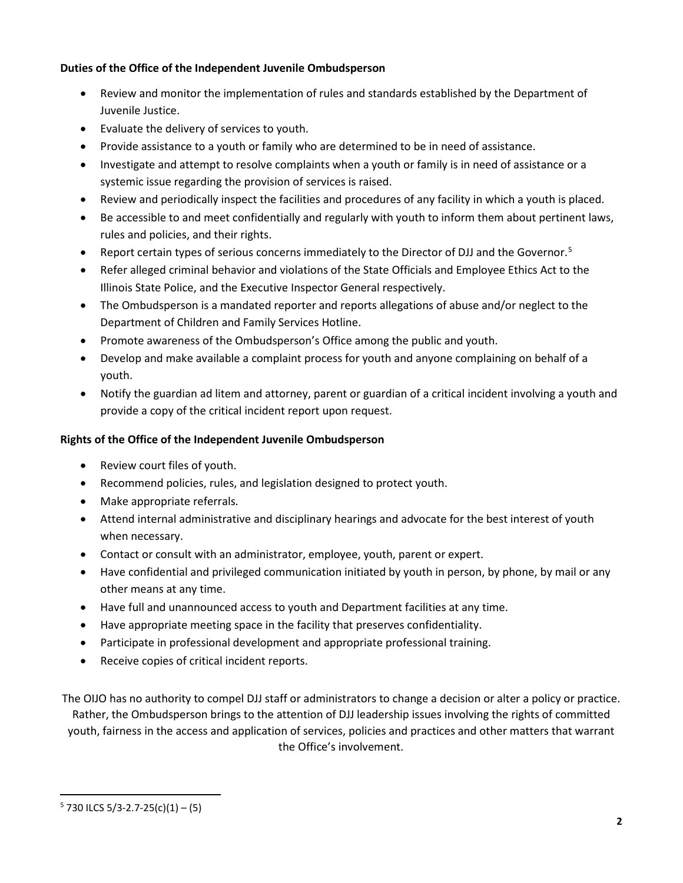# **Duties of the Office of the Independent Juvenile Ombudsperson**

- Review and monitor the implementation of rules and standards established by the Department of Juvenile Justice.
- Evaluate the delivery of services to youth.
- Provide assistance to a youth or family who are determined to be in need of assistance.
- Investigate and attempt to resolve complaints when a youth or family is in need of assistance or a systemic issue regarding the provision of services is raised.
- Review and periodically inspect the facilities and procedures of any facility in which a youth is placed.
- Be accessible to and meet confidentially and regularly with youth to inform them about pertinent laws, rules and policies, and their rights.
- Report certain types of serious concerns immediately to the Director of DJJ and the Governor.<sup>[5](#page-2-0)</sup>
- Refer alleged criminal behavior and violations of the State Officials and Employee Ethics Act to the Illinois State Police, and the Executive Inspector General respectively.
- The Ombudsperson is a mandated reporter and reports allegations of abuse and/or neglect to the Department of Children and Family Services Hotline.
- Promote awareness of the Ombudsperson's Office among the public and youth.
- Develop and make available a complaint process for youth and anyone complaining on behalf of a youth.
- Notify the guardian ad litem and attorney, parent or guardian of a critical incident involving a youth and provide a copy of the critical incident report upon request.

## **Rights of the Office of the Independent Juvenile Ombudsperson**

- Review court files of youth.
- Recommend policies, rules, and legislation designed to protect youth.
- Make appropriate referrals.
- Attend internal administrative and disciplinary hearings and advocate for the best interest of youth when necessary.
- Contact or consult with an administrator, employee, youth, parent or expert.
- Have confidential and privileged communication initiated by youth in person, by phone, by mail or any other means at any time.
- Have full and unannounced access to youth and Department facilities at any time.
- Have appropriate meeting space in the facility that preserves confidentiality.
- Participate in professional development and appropriate professional training.
- Receive copies of critical incident reports.

The OIJO has no authority to compel DJJ staff or administrators to change a decision or alter a policy or practice. Rather, the Ombudsperson brings to the attention of DJJ leadership issues involving the rights of committed youth, fairness in the access and application of services, policies and practices and other matters that warrant the Office's involvement.

<span id="page-2-0"></span> $5$  730 ILCS 5/3-2.7-25(c)(1) – (5)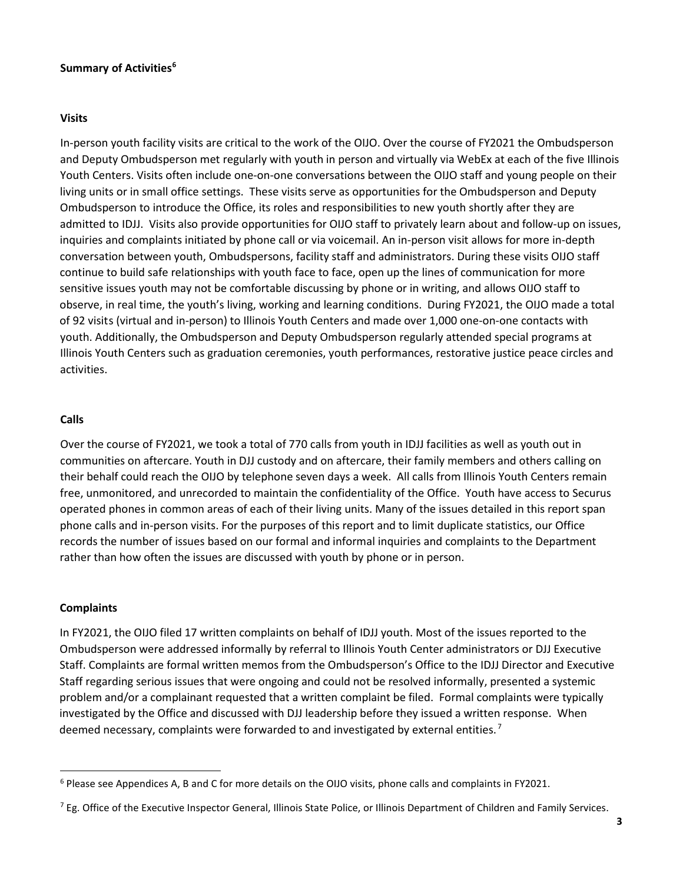### **Summary of Activities[6](#page-3-0)**

#### **Visits**

In-person youth facility visits are critical to the work of the OIJO. Over the course of FY2021 the Ombudsperson and Deputy Ombudsperson met regularly with youth in person and virtually via WebEx at each of the five Illinois Youth Centers. Visits often include one-on-one conversations between the OIJO staff and young people on their living units or in small office settings. These visits serve as opportunities for the Ombudsperson and Deputy Ombudsperson to introduce the Office, its roles and responsibilities to new youth shortly after they are admitted to IDJJ. Visits also provide opportunities for OIJO staff to privately learn about and follow-up on issues, inquiries and complaints initiated by phone call or via voicemail. An in-person visit allows for more in-depth conversation between youth, Ombudspersons, facility staff and administrators. During these visits OIJO staff continue to build safe relationships with youth face to face, open up the lines of communication for more sensitive issues youth may not be comfortable discussing by phone or in writing, and allows OIJO staff to observe, in real time, the youth's living, working and learning conditions. During FY2021, the OIJO made a total of 92 visits (virtual and in-person) to Illinois Youth Centers and made over 1,000 one-on-one contacts with youth. Additionally, the Ombudsperson and Deputy Ombudsperson regularly attended special programs at Illinois Youth Centers such as graduation ceremonies, youth performances, restorative justice peace circles and activities.

#### **Calls**

Over the course of FY2021, we took a total of 770 calls from youth in IDJJ facilities as well as youth out in communities on aftercare. Youth in DJJ custody and on aftercare, their family members and others calling on their behalf could reach the OIJO by telephone seven days a week. All calls from Illinois Youth Centers remain free, unmonitored, and unrecorded to maintain the confidentiality of the Office. Youth have access to Securus operated phones in common areas of each of their living units. Many of the issues detailed in this report span phone calls and in-person visits. For the purposes of this report and to limit duplicate statistics, our Office records the number of issues based on our formal and informal inquiries and complaints to the Department rather than how often the issues are discussed with youth by phone or in person.

### **Complaints**

In FY2021, the OIJO filed 17 written complaints on behalf of IDJJ youth. Most of the issues reported to the Ombudsperson were addressed informally by referral to Illinois Youth Center administrators or DJJ Executive Staff. Complaints are formal written memos from the Ombudsperson's Office to the IDJJ Director and Executive Staff regarding serious issues that were ongoing and could not be resolved informally, presented a systemic problem and/or a complainant requested that a written complaint be filed. Formal complaints were typically investigated by the Office and discussed with DJJ leadership before they issued a written response. When deemed necessary, complaints were forwarded to and investigated by external entities.<sup>[7](#page-3-1)</sup>

<span id="page-3-0"></span><sup>6</sup> Please see Appendices A, B and C for more details on the OIJO visits, phone calls and complaints in FY2021.

<span id="page-3-1"></span><sup>&</sup>lt;sup>7</sup> Eg. Office of the Executive Inspector General, Illinois State Police, or Illinois Department of Children and Family Services.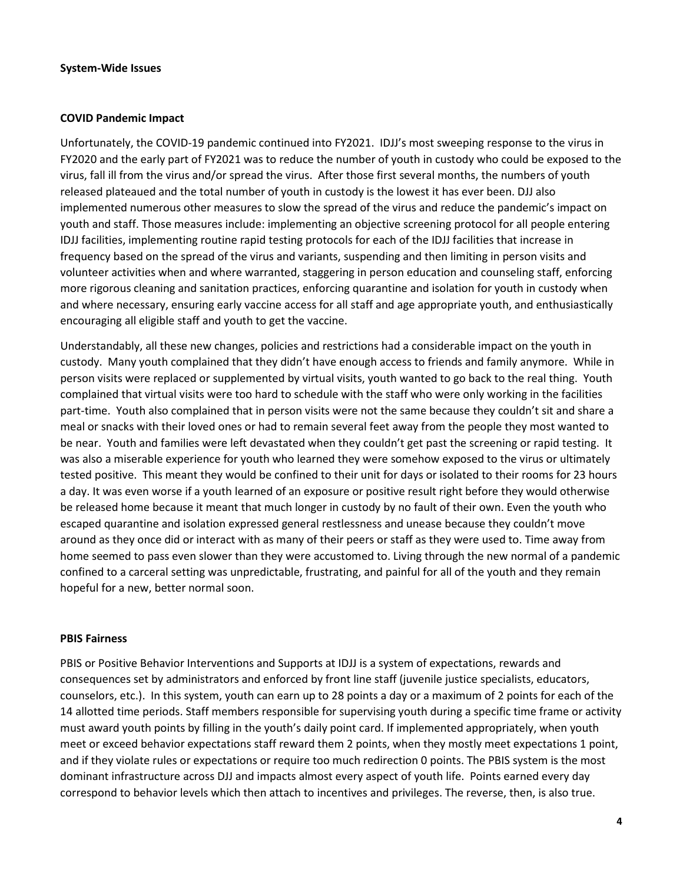#### **System-Wide Issues**

#### **COVID Pandemic Impact**

Unfortunately, the COVID-19 pandemic continued into FY2021. IDJJ's most sweeping response to the virus in FY2020 and the early part of FY2021 was to reduce the number of youth in custody who could be exposed to the virus, fall ill from the virus and/or spread the virus. After those first several months, the numbers of youth released plateaued and the total number of youth in custody is the lowest it has ever been. DJJ also implemented numerous other measures to slow the spread of the virus and reduce the pandemic's impact on youth and staff. Those measures include: implementing an objective screening protocol for all people entering IDJJ facilities, implementing routine rapid testing protocols for each of the IDJJ facilities that increase in frequency based on the spread of the virus and variants, suspending and then limiting in person visits and volunteer activities when and where warranted, staggering in person education and counseling staff, enforcing more rigorous cleaning and sanitation practices, enforcing quarantine and isolation for youth in custody when and where necessary, ensuring early vaccine access for all staff and age appropriate youth, and enthusiastically encouraging all eligible staff and youth to get the vaccine.

Understandably, all these new changes, policies and restrictions had a considerable impact on the youth in custody. Many youth complained that they didn't have enough access to friends and family anymore. While in person visits were replaced or supplemented by virtual visits, youth wanted to go back to the real thing. Youth complained that virtual visits were too hard to schedule with the staff who were only working in the facilities part-time. Youth also complained that in person visits were not the same because they couldn't sit and share a meal or snacks with their loved ones or had to remain several feet away from the people they most wanted to be near. Youth and families were left devastated when they couldn't get past the screening or rapid testing. It was also a miserable experience for youth who learned they were somehow exposed to the virus or ultimately tested positive. This meant they would be confined to their unit for days or isolated to their rooms for 23 hours a day. It was even worse if a youth learned of an exposure or positive result right before they would otherwise be released home because it meant that much longer in custody by no fault of their own. Even the youth who escaped quarantine and isolation expressed general restlessness and unease because they couldn't move around as they once did or interact with as many of their peers or staff as they were used to. Time away from home seemed to pass even slower than they were accustomed to. Living through the new normal of a pandemic confined to a carceral setting was unpredictable, frustrating, and painful for all of the youth and they remain hopeful for a new, better normal soon.

#### **PBIS Fairness**

PBIS or Positive Behavior Interventions and Supports at IDJJ is a system of expectations, rewards and consequences set by administrators and enforced by front line staff (juvenile justice specialists, educators, counselors, etc.). In this system, youth can earn up to 28 points a day or a maximum of 2 points for each of the 14 allotted time periods. Staff members responsible for supervising youth during a specific time frame or activity must award youth points by filling in the youth's daily point card. If implemented appropriately, when youth meet or exceed behavior expectations staff reward them 2 points, when they mostly meet expectations 1 point, and if they violate rules or expectations or require too much redirection 0 points. The PBIS system is the most dominant infrastructure across DJJ and impacts almost every aspect of youth life. Points earned every day correspond to behavior levels which then attach to incentives and privileges. The reverse, then, is also true.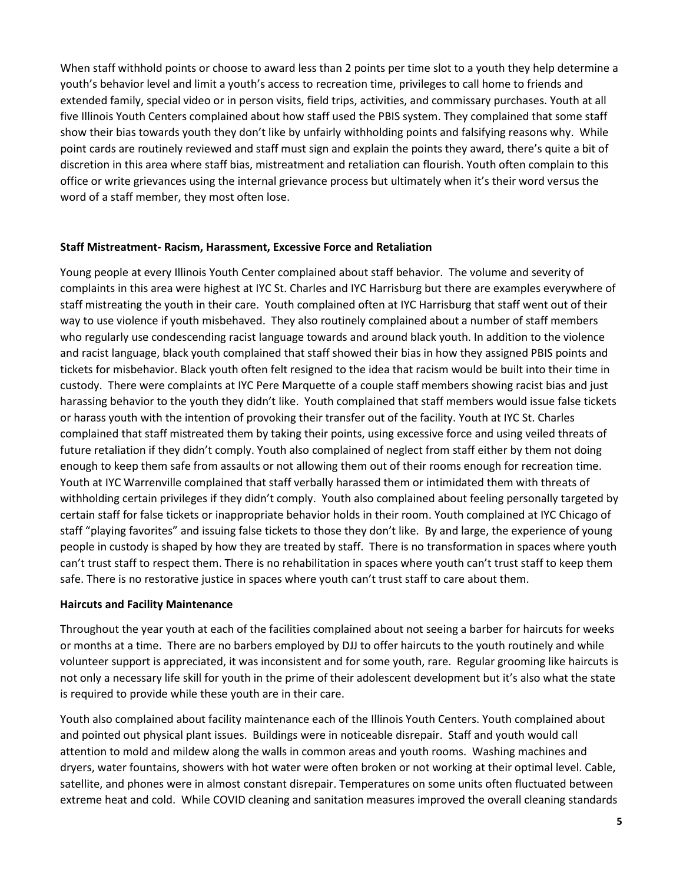When staff withhold points or choose to award less than 2 points per time slot to a youth they help determine a youth's behavior level and limit a youth's access to recreation time, privileges to call home to friends and extended family, special video or in person visits, field trips, activities, and commissary purchases. Youth at all five Illinois Youth Centers complained about how staff used the PBIS system. They complained that some staff show their bias towards youth they don't like by unfairly withholding points and falsifying reasons why. While point cards are routinely reviewed and staff must sign and explain the points they award, there's quite a bit of discretion in this area where staff bias, mistreatment and retaliation can flourish. Youth often complain to this office or write grievances using the internal grievance process but ultimately when it's their word versus the word of a staff member, they most often lose.

### **Staff Mistreatment- Racism, Harassment, Excessive Force and Retaliation**

Young people at every Illinois Youth Center complained about staff behavior. The volume and severity of complaints in this area were highest at IYC St. Charles and IYC Harrisburg but there are examples everywhere of staff mistreating the youth in their care. Youth complained often at IYC Harrisburg that staff went out of their way to use violence if youth misbehaved. They also routinely complained about a number of staff members who regularly use condescending racist language towards and around black youth. In addition to the violence and racist language, black youth complained that staff showed their bias in how they assigned PBIS points and tickets for misbehavior. Black youth often felt resigned to the idea that racism would be built into their time in custody. There were complaints at IYC Pere Marquette of a couple staff members showing racist bias and just harassing behavior to the youth they didn't like. Youth complained that staff members would issue false tickets or harass youth with the intention of provoking their transfer out of the facility. Youth at IYC St. Charles complained that staff mistreated them by taking their points, using excessive force and using veiled threats of future retaliation if they didn't comply. Youth also complained of neglect from staff either by them not doing enough to keep them safe from assaults or not allowing them out of their rooms enough for recreation time. Youth at IYC Warrenville complained that staff verbally harassed them or intimidated them with threats of withholding certain privileges if they didn't comply. Youth also complained about feeling personally targeted by certain staff for false tickets or inappropriate behavior holds in their room. Youth complained at IYC Chicago of staff "playing favorites" and issuing false tickets to those they don't like. By and large, the experience of young people in custody is shaped by how they are treated by staff. There is no transformation in spaces where youth can't trust staff to respect them. There is no rehabilitation in spaces where youth can't trust staff to keep them safe. There is no restorative justice in spaces where youth can't trust staff to care about them.

#### **Haircuts and Facility Maintenance**

Throughout the year youth at each of the facilities complained about not seeing a barber for haircuts for weeks or months at a time. There are no barbers employed by DJJ to offer haircuts to the youth routinely and while volunteer support is appreciated, it was inconsistent and for some youth, rare. Regular grooming like haircuts is not only a necessary life skill for youth in the prime of their adolescent development but it's also what the state is required to provide while these youth are in their care.

Youth also complained about facility maintenance each of the Illinois Youth Centers. Youth complained about and pointed out physical plant issues. Buildings were in noticeable disrepair. Staff and youth would call attention to mold and mildew along the walls in common areas and youth rooms. Washing machines and dryers, water fountains, showers with hot water were often broken or not working at their optimal level. Cable, satellite, and phones were in almost constant disrepair. Temperatures on some units often fluctuated between extreme heat and cold. While COVID cleaning and sanitation measures improved the overall cleaning standards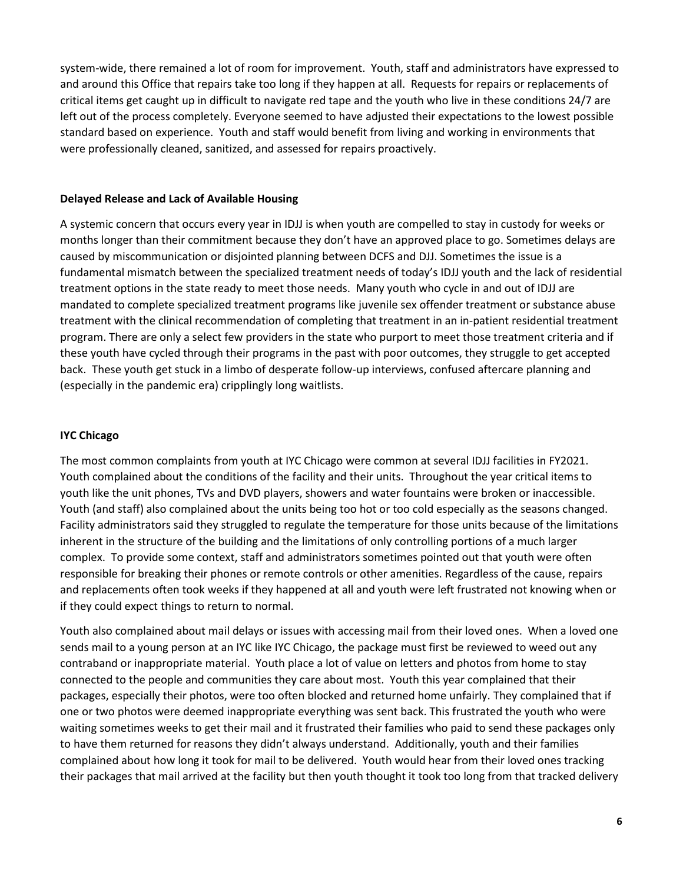system-wide, there remained a lot of room for improvement. Youth, staff and administrators have expressed to and around this Office that repairs take too long if they happen at all. Requests for repairs or replacements of critical items get caught up in difficult to navigate red tape and the youth who live in these conditions 24/7 are left out of the process completely. Everyone seemed to have adjusted their expectations to the lowest possible standard based on experience. Youth and staff would benefit from living and working in environments that were professionally cleaned, sanitized, and assessed for repairs proactively.

#### **Delayed Release and Lack of Available Housing**

A systemic concern that occurs every year in IDJJ is when youth are compelled to stay in custody for weeks or months longer than their commitment because they don't have an approved place to go. Sometimes delays are caused by miscommunication or disjointed planning between DCFS and DJJ. Sometimes the issue is a fundamental mismatch between the specialized treatment needs of today's IDJJ youth and the lack of residential treatment options in the state ready to meet those needs. Many youth who cycle in and out of IDJJ are mandated to complete specialized treatment programs like juvenile sex offender treatment or substance abuse treatment with the clinical recommendation of completing that treatment in an in-patient residential treatment program. There are only a select few providers in the state who purport to meet those treatment criteria and if these youth have cycled through their programs in the past with poor outcomes, they struggle to get accepted back. These youth get stuck in a limbo of desperate follow-up interviews, confused aftercare planning and (especially in the pandemic era) cripplingly long waitlists.

#### **IYC Chicago**

The most common complaints from youth at IYC Chicago were common at several IDJJ facilities in FY2021. Youth complained about the conditions of the facility and their units. Throughout the year critical items to youth like the unit phones, TVs and DVD players, showers and water fountains were broken or inaccessible. Youth (and staff) also complained about the units being too hot or too cold especially as the seasons changed. Facility administrators said they struggled to regulate the temperature for those units because of the limitations inherent in the structure of the building and the limitations of only controlling portions of a much larger complex. To provide some context, staff and administrators sometimes pointed out that youth were often responsible for breaking their phones or remote controls or other amenities. Regardless of the cause, repairs and replacements often took weeks if they happened at all and youth were left frustrated not knowing when or if they could expect things to return to normal.

Youth also complained about mail delays or issues with accessing mail from their loved ones. When a loved one sends mail to a young person at an IYC like IYC Chicago, the package must first be reviewed to weed out any contraband or inappropriate material. Youth place a lot of value on letters and photos from home to stay connected to the people and communities they care about most. Youth this year complained that their packages, especially their photos, were too often blocked and returned home unfairly. They complained that if one or two photos were deemed inappropriate everything was sent back. This frustrated the youth who were waiting sometimes weeks to get their mail and it frustrated their families who paid to send these packages only to have them returned for reasons they didn't always understand. Additionally, youth and their families complained about how long it took for mail to be delivered. Youth would hear from their loved ones tracking their packages that mail arrived at the facility but then youth thought it took too long from that tracked delivery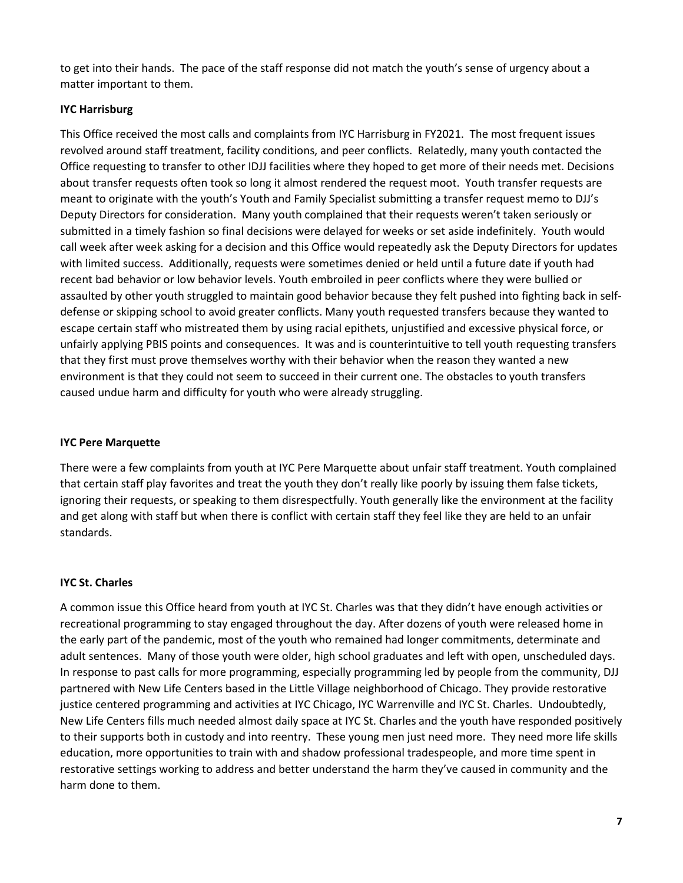to get into their hands. The pace of the staff response did not match the youth's sense of urgency about a matter important to them.

## **IYC Harrisburg**

This Office received the most calls and complaints from IYC Harrisburg in FY2021. The most frequent issues revolved around staff treatment, facility conditions, and peer conflicts. Relatedly, many youth contacted the Office requesting to transfer to other IDJJ facilities where they hoped to get more of their needs met. Decisions about transfer requests often took so long it almost rendered the request moot. Youth transfer requests are meant to originate with the youth's Youth and Family Specialist submitting a transfer request memo to DJJ's Deputy Directors for consideration. Many youth complained that their requests weren't taken seriously or submitted in a timely fashion so final decisions were delayed for weeks or set aside indefinitely. Youth would call week after week asking for a decision and this Office would repeatedly ask the Deputy Directors for updates with limited success. Additionally, requests were sometimes denied or held until a future date if youth had recent bad behavior or low behavior levels. Youth embroiled in peer conflicts where they were bullied or assaulted by other youth struggled to maintain good behavior because they felt pushed into fighting back in selfdefense or skipping school to avoid greater conflicts. Many youth requested transfers because they wanted to escape certain staff who mistreated them by using racial epithets, unjustified and excessive physical force, or unfairly applying PBIS points and consequences. It was and is counterintuitive to tell youth requesting transfers that they first must prove themselves worthy with their behavior when the reason they wanted a new environment is that they could not seem to succeed in their current one. The obstacles to youth transfers caused undue harm and difficulty for youth who were already struggling.

### **IYC Pere Marquette**

There were a few complaints from youth at IYC Pere Marquette about unfair staff treatment. Youth complained that certain staff play favorites and treat the youth they don't really like poorly by issuing them false tickets, ignoring their requests, or speaking to them disrespectfully. Youth generally like the environment at the facility and get along with staff but when there is conflict with certain staff they feel like they are held to an unfair standards.

### **IYC St. Charles**

A common issue this Office heard from youth at IYC St. Charles was that they didn't have enough activities or recreational programming to stay engaged throughout the day. After dozens of youth were released home in the early part of the pandemic, most of the youth who remained had longer commitments, determinate and adult sentences. Many of those youth were older, high school graduates and left with open, unscheduled days. In response to past calls for more programming, especially programming led by people from the community, DJJ partnered with New Life Centers based in the Little Village neighborhood of Chicago. They provide restorative justice centered programming and activities at IYC Chicago, IYC Warrenville and IYC St. Charles. Undoubtedly, New Life Centers fills much needed almost daily space at IYC St. Charles and the youth have responded positively to their supports both in custody and into reentry. These young men just need more. They need more life skills education, more opportunities to train with and shadow professional tradespeople, and more time spent in restorative settings working to address and better understand the harm they've caused in community and the harm done to them.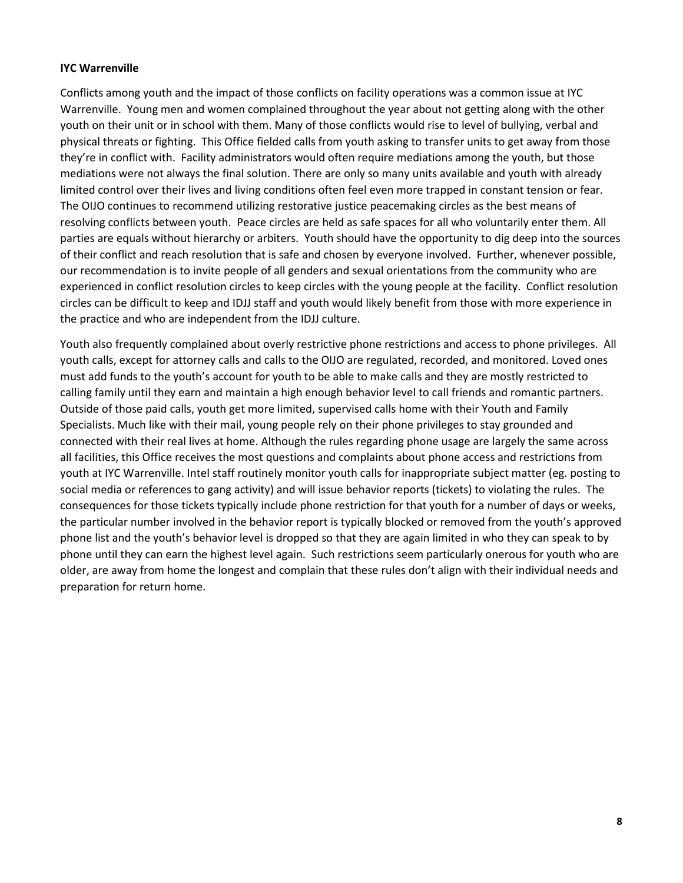### **IYC Warrenville**

Conflicts among youth and the impact of those conflicts on facility operations was a common issue at IYC Warrenville. Young men and women complained throughout the year about not getting along with the other youth on their unit or in school with them. Many of those conflicts would rise to level of bullying, verbal and physical threats or fighting. This Office fielded calls from youth asking to transfer units to get away from those they're in conflict with. Facility administrators would often require mediations among the youth, but those mediations were not always the final solution. There are only so many units available and youth with already limited control over their lives and living conditions often feel even more trapped in constant tension or fear. The OIJO continues to recommend utilizing restorative justice peacemaking circles as the best means of resolving conflicts between youth. Peace circles are held as safe spaces for all who voluntarily enter them. All parties are equals without hierarchy or arbiters. Youth should have the opportunity to dig deep into the sources of their conflict and reach resolution that is safe and chosen by everyone involved. Further, whenever possible, our recommendation is to invite people of all genders and sexual orientations from the community who are experienced in conflict resolution circles to keep circles with the young people at the facility. Conflict resolution circles can be difficult to keep and IDJJ staff and youth would likely benefit from those with more experience in the practice and who are independent from the IDJJ culture.

Youth also frequently complained about overly restrictive phone restrictions and access to phone privileges. All youth calls, except for attorney calls and calls to the OIJO are regulated, recorded, and monitored. Loved ones must add funds to the youth's account for youth to be able to make calls and they are mostly restricted to calling family until they earn and maintain a high enough behavior level to call friends and romantic partners. Outside of those paid calls, youth get more limited, supervised calls home with their Youth and Family Specialists. Much like with their mail, young people rely on their phone privileges to stay grounded and connected with their real lives at home. Although the rules regarding phone usage are largely the same across all facilities, this Office receives the most questions and complaints about phone access and restrictions from youth at IYC Warrenville. Intel staff routinely monitor youth calls for inappropriate subject matter (eg. posting to social media or references to gang activity) and will issue behavior reports (tickets) to violating the rules. The consequences for those tickets typically include phone restriction for that youth for a number of days or weeks, the particular number involved in the behavior report is typically blocked or removed from the youth's approved phone list and the youth's behavior level is dropped so that they are again limited in who they can speak to by phone until they can earn the highest level again. Such restrictions seem particularly onerous for youth who are older, are away from home the longest and complain that these rules don't align with their individual needs and preparation for return home.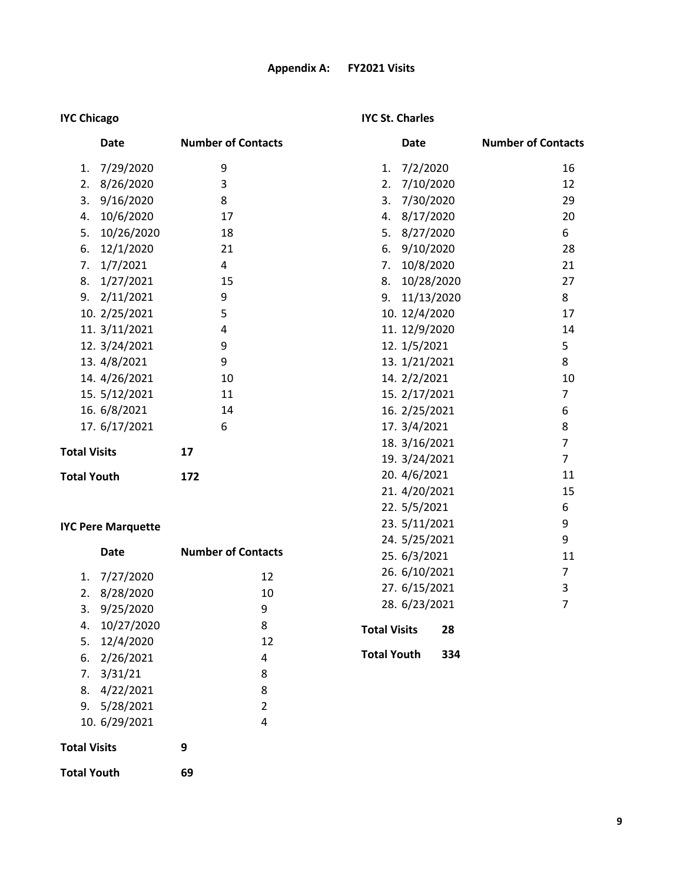# **IYC Chicago**

# **IYC St. Charles**

| Date                | <b>Number of Contacts</b> | Date             | <b>Number of Contacts</b> |
|---------------------|---------------------------|------------------|---------------------------|
| 7/29/2020<br>1.     | 9                         | 7/2/2020<br>1.   | 16                        |
| 8/26/2020<br>2.     | 3                         | 7/10/2020<br>2.  | 12                        |
| 9/16/2020<br>3.     | 8                         | 7/30/2020<br>3.  | 29                        |
| 10/6/2020<br>4.     | 17                        | 8/17/2020<br>4.  | 20                        |
| 10/26/2020<br>5.    | 18                        | 5. 8/27/2020     | 6                         |
| 12/1/2020<br>6.     | 21                        | 9/10/2020<br>6.  | 28                        |
| 1/7/2021<br>7.      | 4                         | 10/8/2020<br>7.  | 21                        |
| 1/27/2021<br>8.     | 15                        | 10/28/2020<br>8. | 27                        |
| 2/11/2021<br>9.     | 9                         | 9. 11/13/2020    | 8                         |
| 10. 2/25/2021       | 5                         | 10. 12/4/2020    | 17                        |
| 11. 3/11/2021       | 4                         | 11. 12/9/2020    | 14                        |
| 12. 3/24/2021       | 9                         | 12. 1/5/2021     | 5                         |
| 13. 4/8/2021        | 9                         | 13. 1/21/2021    | 8                         |
| 14. 4/26/2021       | 10                        | 14. 2/2/2021     | 10                        |
| 15. 5/12/2021       | 11                        | 15. 2/17/2021    | 7                         |
| 16. 6/8/2021        | 14                        | 16. 2/25/2021    | 6                         |
| 17. 6/17/2021       | 6                         | 17. 3/4/2021     | 8                         |
|                     |                           | 18. 3/16/2021    | $\overline{7}$            |
| <b>Total Visits</b> | 17                        | 19. 3/24/2021    | $\overline{7}$            |
| <b>Total Youth</b>  | 172                       | 20. 4/6/2021     | 11                        |
|                     |                           | 21. 4/20/2021    | 15                        |
|                     |                           | 22. 5/5/2021     | 6                         |

# **IYC Pere Marquette**

|                     | Date                 | <b>Number of Contacts</b> |                |
|---------------------|----------------------|---------------------------|----------------|
| 1.                  | 7/27/2020            |                           | 12             |
| 2.                  | 8/28/2020            |                           | 10             |
|                     | 3.9/25/2020          |                           | 9              |
|                     | 4. 10/27/2020        |                           | 8              |
|                     | 5. 12/4/2020         |                           | 12             |
|                     | $6. \quad 2/26/2021$ |                           | 4              |
|                     | $7. \quad 3/31/21$   |                           | 8              |
|                     | 8. 4/22/2021         |                           | 8              |
|                     | 9. 5/28/2021         |                           | $\overline{2}$ |
|                     | 10. 6/29/2021        |                           | 4              |
| <b>Total Visits</b> |                      | 9                         |                |
| <b>Total Youth</b>  |                      | 69                        |                |

| 21. 4/20/2021       |     | 15 |
|---------------------|-----|----|
| 22. 5/5/2021        |     | 6  |
| 23. 5/11/2021       |     | 9  |
| 24. 5/25/2021       |     | 9  |
| 25. 6/3/2021        |     | 11 |
| 26. 6/10/2021       |     | 7  |
| 27. 6/15/2021       |     | 3  |
| 28. 6/23/2021       |     | 7  |
| <b>Total Visits</b> | 28  |    |
| <b>Total Youth</b>  | 334 |    |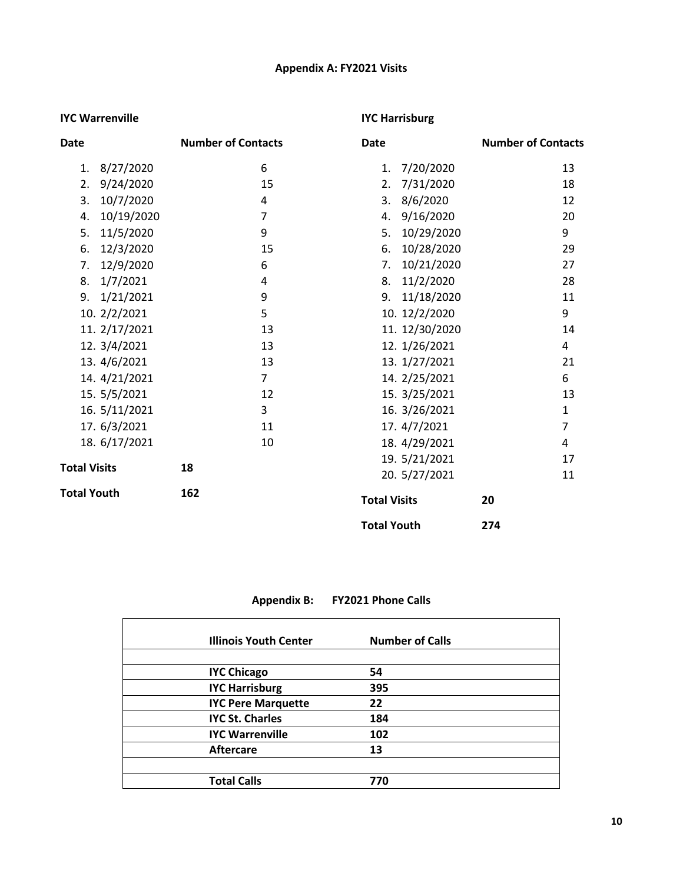# **Appendix A: FY2021 Visits**

### **IYC Warrenville**

# **IYC Harrisburg**

| <b>Date</b>         | <b>Number of Contacts</b> |                | Date                |                | <b>Number of Contacts</b> |                |
|---------------------|---------------------------|----------------|---------------------|----------------|---------------------------|----------------|
| 8/27/2020<br>1.     |                           | 6              | 1.                  | 7/20/2020      |                           | 13             |
| 9/24/2020<br>2.     |                           | 15             | 2.                  | 7/31/2020      |                           | 18             |
| 10/7/2020<br>3.     |                           | 4              | 3.                  | 8/6/2020       |                           | 12             |
| 10/19/2020<br>4.    |                           | $\overline{7}$ |                     | 4. 9/16/2020   |                           | 20             |
| 11/5/2020<br>5.     |                           | 9              | 5.                  | 10/29/2020     |                           | 9              |
| 6.<br>12/3/2020     |                           | 15             | 6.                  | 10/28/2020     |                           | 29             |
| 12/9/2020<br>7.     |                           | 6              | 7.                  | 10/21/2020     |                           | 27             |
| 1/7/2021<br>8.      |                           | 4              | 8.                  | 11/2/2020      |                           | 28             |
| 1/21/2021<br>9.     |                           | 9              |                     | 9. 11/18/2020  |                           | 11             |
| 10. 2/2/2021        |                           | 5              |                     | 10. 12/2/2020  |                           | 9              |
| 11. 2/17/2021       |                           | 13             |                     | 11. 12/30/2020 |                           | 14             |
| 12. 3/4/2021        |                           | 13             |                     | 12. 1/26/2021  |                           | 4              |
| 13. 4/6/2021        |                           | 13             |                     | 13. 1/27/2021  |                           | 21             |
| 14. 4/21/2021       |                           | $\overline{7}$ |                     | 14. 2/25/2021  |                           | 6              |
| 15. 5/5/2021        |                           | 12             |                     | 15. 3/25/2021  |                           | 13             |
| 16. 5/11/2021       |                           | 3              |                     | 16. 3/26/2021  |                           | $\mathbf{1}$   |
| 17. 6/3/2021        |                           | 11             |                     | 17. 4/7/2021   |                           | $\overline{7}$ |
| 18. 6/17/2021       |                           | 10             |                     | 18. 4/29/2021  |                           | 4              |
|                     |                           |                |                     | 19. 5/21/2021  |                           | 17             |
| <b>Total Visits</b> | 18                        |                |                     | 20. 5/27/2021  |                           | 11             |
| <b>Total Youth</b>  | 162                       |                | <b>Total Visits</b> |                | 20                        |                |
|                     |                           |                | <b>Total Youth</b>  |                | 274                       |                |

# **Appendix B: FY2021 Phone Calls**

| <b>Illinois Youth Center</b> | <b>Number of Calls</b> |  |
|------------------------------|------------------------|--|
|                              |                        |  |
| <b>IYC Chicago</b>           | 54                     |  |
| <b>IYC Harrisburg</b>        | 395                    |  |
| <b>IYC Pere Marquette</b>    | 22                     |  |
| <b>IYC St. Charles</b>       | 184                    |  |
| <b>IYC Warrenville</b>       | 102                    |  |
| <b>Aftercare</b>             | 13                     |  |
|                              |                        |  |
| <b>Total Calls</b>           | 770                    |  |
|                              |                        |  |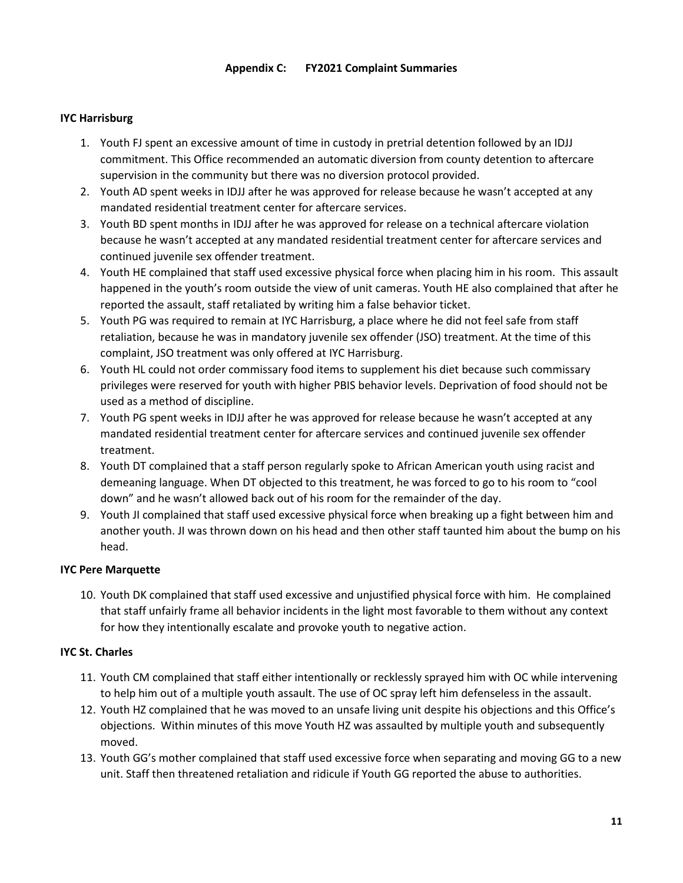### **Appendix C: FY2021 Complaint Summaries**

## **IYC Harrisburg**

- 1. Youth FJ spent an excessive amount of time in custody in pretrial detention followed by an IDJJ commitment. This Office recommended an automatic diversion from county detention to aftercare supervision in the community but there was no diversion protocol provided.
- 2. Youth AD spent weeks in IDJJ after he was approved for release because he wasn't accepted at any mandated residential treatment center for aftercare services.
- 3. Youth BD spent months in IDJJ after he was approved for release on a technical aftercare violation because he wasn't accepted at any mandated residential treatment center for aftercare services and continued juvenile sex offender treatment.
- 4. Youth HE complained that staff used excessive physical force when placing him in his room. This assault happened in the youth's room outside the view of unit cameras. Youth HE also complained that after he reported the assault, staff retaliated by writing him a false behavior ticket.
- 5. Youth PG was required to remain at IYC Harrisburg, a place where he did not feel safe from staff retaliation, because he was in mandatory juvenile sex offender (JSO) treatment. At the time of this complaint, JSO treatment was only offered at IYC Harrisburg.
- 6. Youth HL could not order commissary food items to supplement his diet because such commissary privileges were reserved for youth with higher PBIS behavior levels. Deprivation of food should not be used as a method of discipline.
- 7. Youth PG spent weeks in IDJJ after he was approved for release because he wasn't accepted at any mandated residential treatment center for aftercare services and continued juvenile sex offender treatment.
- 8. Youth DT complained that a staff person regularly spoke to African American youth using racist and demeaning language. When DT objected to this treatment, he was forced to go to his room to "cool down" and he wasn't allowed back out of his room for the remainder of the day.
- 9. Youth JI complained that staff used excessive physical force when breaking up a fight between him and another youth. JI was thrown down on his head and then other staff taunted him about the bump on his head.

### **IYC Pere Marquette**

10. Youth DK complained that staff used excessive and unjustified physical force with him. He complained that staff unfairly frame all behavior incidents in the light most favorable to them without any context for how they intentionally escalate and provoke youth to negative action.

### **IYC St. Charles**

- 11. Youth CM complained that staff either intentionally or recklessly sprayed him with OC while intervening to help him out of a multiple youth assault. The use of OC spray left him defenseless in the assault.
- 12. Youth HZ complained that he was moved to an unsafe living unit despite his objections and this Office's objections. Within minutes of this move Youth HZ was assaulted by multiple youth and subsequently moved.
- 13. Youth GG's mother complained that staff used excessive force when separating and moving GG to a new unit. Staff then threatened retaliation and ridicule if Youth GG reported the abuse to authorities.